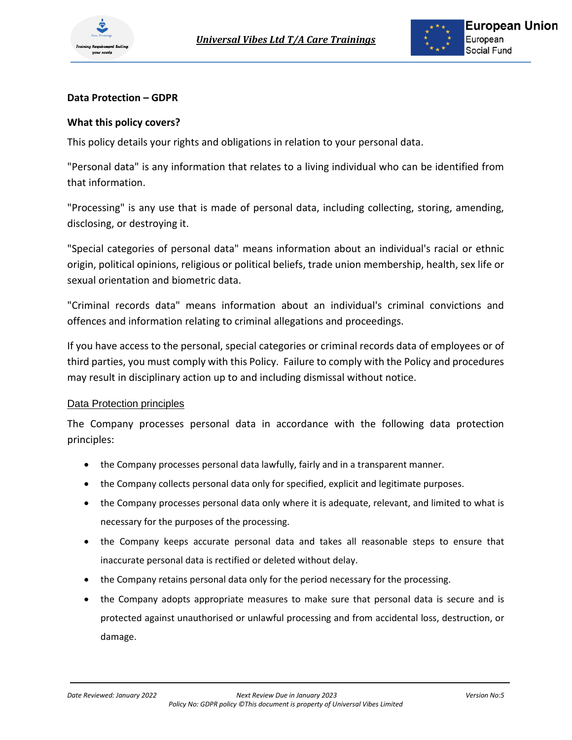

# **Data Protection – GDPR**

# **What this policy covers?**

This policy details your rights and obligations in relation to your personal data.

"Personal data" is any information that relates to a living individual who can be identified from that information.

"Processing" is any use that is made of personal data, including collecting, storing, amending, disclosing, or destroying it.

"Special categories of personal data" means information about an individual's racial or ethnic origin, political opinions, religious or political beliefs, trade union membership, health, sex life or sexual orientation and biometric data.

"Criminal records data" means information about an individual's criminal convictions and offences and information relating to criminal allegations and proceedings.

If you have access to the personal, special categories or criminal records data of employees or of third parties, you must comply with this Policy. Failure to comply with the Policy and procedures may result in disciplinary action up to and including dismissal without notice.

## Data Protection principles

The Company processes personal data in accordance with the following data protection principles:

- the Company processes personal data lawfully, fairly and in a transparent manner.
- the Company collects personal data only for specified, explicit and legitimate purposes.
- the Company processes personal data only where it is adequate, relevant, and limited to what is necessary for the purposes of the processing.
- the Company keeps accurate personal data and takes all reasonable steps to ensure that inaccurate personal data is rectified or deleted without delay.
- the Company retains personal data only for the period necessary for the processing.
- the Company adopts appropriate measures to make sure that personal data is secure and is protected against unauthorised or unlawful processing and from accidental loss, destruction, or damage.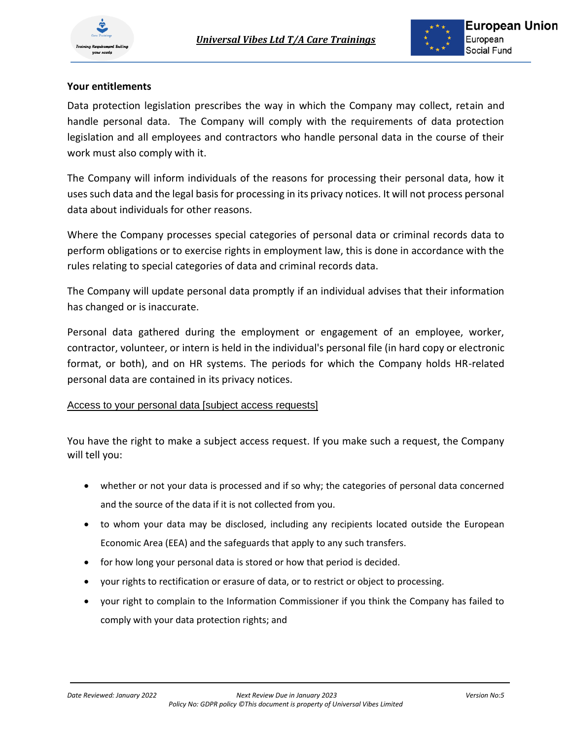

# **Your entitlements**

Data protection legislation prescribes the way in which the Company may collect, retain and handle personal data. The Company will comply with the requirements of data protection legislation and all employees and contractors who handle personal data in the course of their work must also comply with it.

The Company will inform individuals of the reasons for processing their personal data, how it uses such data and the legal basis for processing in its privacy notices. It will not process personal data about individuals for other reasons.

Where the Company processes special categories of personal data or criminal records data to perform obligations or to exercise rights in employment law, this is done in accordance with the rules relating to special categories of data and criminal records data.

The Company will update personal data promptly if an individual advises that their information has changed or is inaccurate.

Personal data gathered during the employment or engagement of an employee, worker, contractor, volunteer, or intern is held in the individual's personal file (in hard copy or electronic format, or both), and on HR systems. The periods for which the Company holds HR-related personal data are contained in its privacy notices.

## Access to your personal data [subject access requests]

You have the right to make a subject access request. If you make such a request, the Company will tell you:

- whether or not your data is processed and if so why; the categories of personal data concerned and the source of the data if it is not collected from you.
- to whom your data may be disclosed, including any recipients located outside the European Economic Area (EEA) and the safeguards that apply to any such transfers.
- for how long your personal data is stored or how that period is decided.
- your rights to rectification or erasure of data, or to restrict or object to processing.
- your right to complain to the Information Commissioner if you think the Company has failed to comply with your data protection rights; and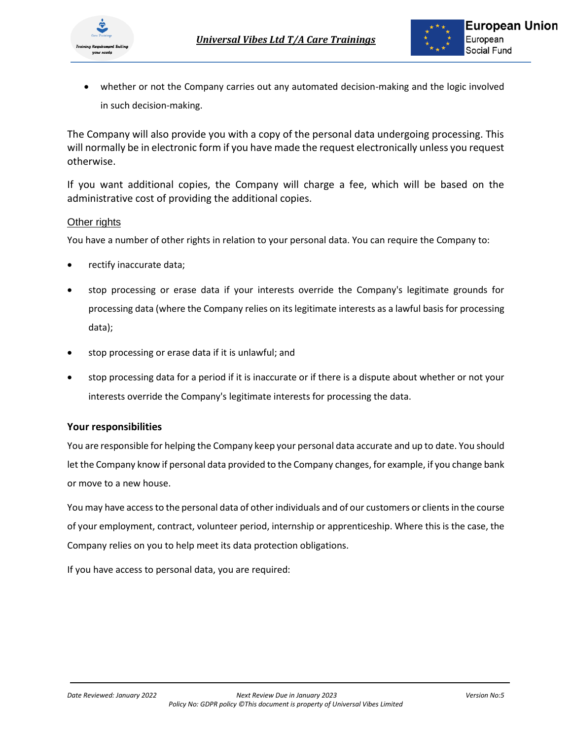

• whether or not the Company carries out any automated decision-making and the logic involved in such decision-making.

The Company will also provide you with a copy of the personal data undergoing processing. This will normally be in electronic form if you have made the request electronically unless you request otherwise.

If you want additional copies, the Company will charge a fee, which will be based on the administrative cost of providing the additional copies.

### Other rights

You have a number of other rights in relation to your personal data. You can require the Company to:

- rectify inaccurate data;
- stop processing or erase data if your interests override the Company's legitimate grounds for processing data (where the Company relies on its legitimate interests as a lawful basis for processing data);
- stop processing or erase data if it is unlawful; and
- stop processing data for a period if it is inaccurate or if there is a dispute about whether or not your interests override the Company's legitimate interests for processing the data.

### **Your responsibilities**

You are responsible for helping the Company keep your personal data accurate and up to date. You should let the Company know if personal data provided to the Company changes, for example, if you change bank or move to a new house.

You may have access to the personal data of other individuals and of our customers or clients in the course of your employment, contract, volunteer period, internship or apprenticeship. Where this is the case, the Company relies on you to help meet its data protection obligations.

If you have access to personal data, you are required: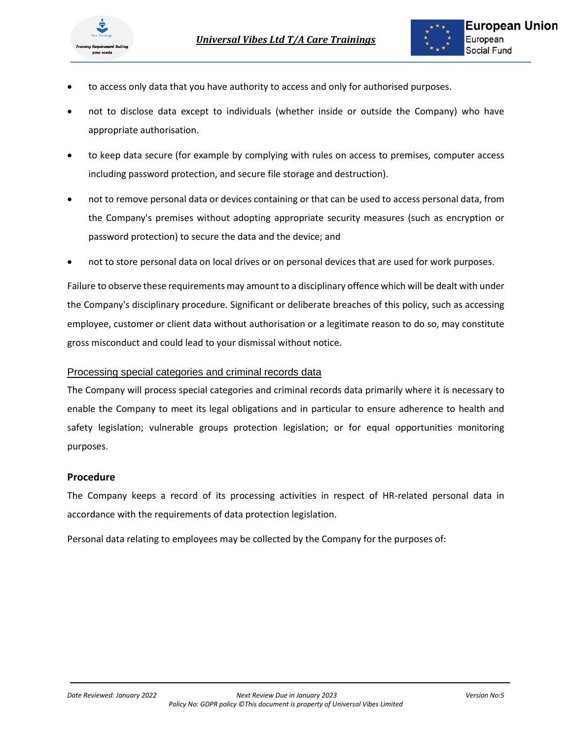

- to access only data that you have authority to access and only for authorised purposes.
- not to disclose data except to individuals (whether inside or outside the Company) who have appropriate authorisation.
- to keep data secure (for example by complying with rules on access to premises, computer access including password protection, and secure file storage and destruction).
- not to remove personal data or devices containing or that can be used to access personal data, from the Company's premises without adopting appropriate security measures (such as encryption or password protection) to secure the data and the device; and
- not to store personal data on local drives or on personal devices that are used for work purposes.

Failure to observe these requirements may amount to a disciplinary offence which will be dealt with under the Company's disciplinary procedure. Significant or deliberate breaches of this policy, such as accessing employee, customer or client data without authorisation or a legitimate reason to do so, may constitute gross misconduct and could lead to your dismissal without notice.

### Processing special categories and criminal records data

The Company will process special categories and criminal records data primarily where it is necessary to enable the Company to meet its legal obligations and in particular to ensure adherence to health and safety legislation; vulnerable groups protection legislation; or for equal opportunities monitoring purposes.

### **Procedure**

The Company keeps a record of its processing activities in respect of HR-related personal data in accordance with the requirements of data protection legislation.

Personal data relating to employees may be collected by the Company for the purposes of: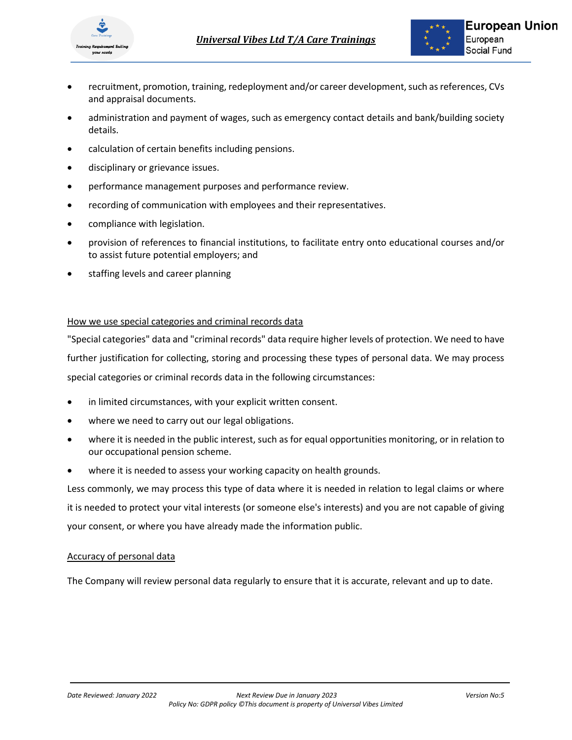

- recruitment, promotion, training, redeployment and/or career development, such as references, CVs and appraisal documents.
- administration and payment of wages, such as emergency contact details and bank/building society details.
- calculation of certain benefits including pensions.
- disciplinary or grievance issues.
- performance management purposes and performance review.
- recording of communication with employees and their representatives.
- compliance with legislation.
- provision of references to financial institutions, to facilitate entry onto educational courses and/or to assist future potential employers; and
- staffing levels and career planning

### How we use special categories and criminal records data

"Special categories" data and "criminal records" data require higher levels of protection. We need to have further justification for collecting, storing and processing these types of personal data. We may process special categories or criminal records data in the following circumstances:

- in limited circumstances, with your explicit written consent.
- where we need to carry out our legal obligations.
- where it is needed in the public interest, such as for equal opportunities monitoring, or in relation to our occupational pension scheme.
- where it is needed to assess your working capacity on health grounds.

Less commonly, we may process this type of data where it is needed in relation to legal claims or where it is needed to protect your vital interests (or someone else's interests) and you are not capable of giving your consent, or where you have already made the information public.

### Accuracy of personal data

The Company will review personal data regularly to ensure that it is accurate, relevant and up to date.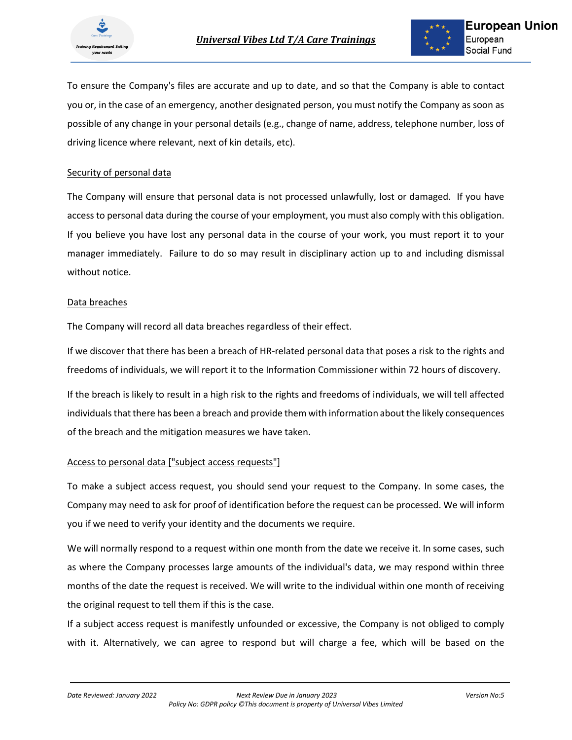

To ensure the Company's files are accurate and up to date, and so that the Company is able to contact you or, in the case of an emergency, another designated person, you must notify the Company as soon as possible of any change in your personal details (e.g., change of name, address, telephone number, loss of driving licence where relevant, next of kin details, etc).

#### Security of personal data

The Company will ensure that personal data is not processed unlawfully, lost or damaged. If you have access to personal data during the course of your employment, you must also comply with this obligation. If you believe you have lost any personal data in the course of your work, you must report it to your manager immediately. Failure to do so may result in disciplinary action up to and including dismissal without notice.

#### Data breaches

The Company will record all data breaches regardless of their effect.

If we discover that there has been a breach of HR-related personal data that poses a risk to the rights and freedoms of individuals, we will report it to the Information Commissioner within 72 hours of discovery.

If the breach is likely to result in a high risk to the rights and freedoms of individuals, we will tell affected individuals that there has been a breach and provide them with information about the likely consequences of the breach and the mitigation measures we have taken.

### Access to personal data ["subject access requests"]

To make a subject access request, you should send your request to the Company. In some cases, the Company may need to ask for proof of identification before the request can be processed. We will inform you if we need to verify your identity and the documents we require.

We will normally respond to a request within one month from the date we receive it. In some cases, such as where the Company processes large amounts of the individual's data, we may respond within three months of the date the request is received. We will write to the individual within one month of receiving the original request to tell them if this is the case.

If a subject access request is manifestly unfounded or excessive, the Company is not obliged to comply with it. Alternatively, we can agree to respond but will charge a fee, which will be based on the